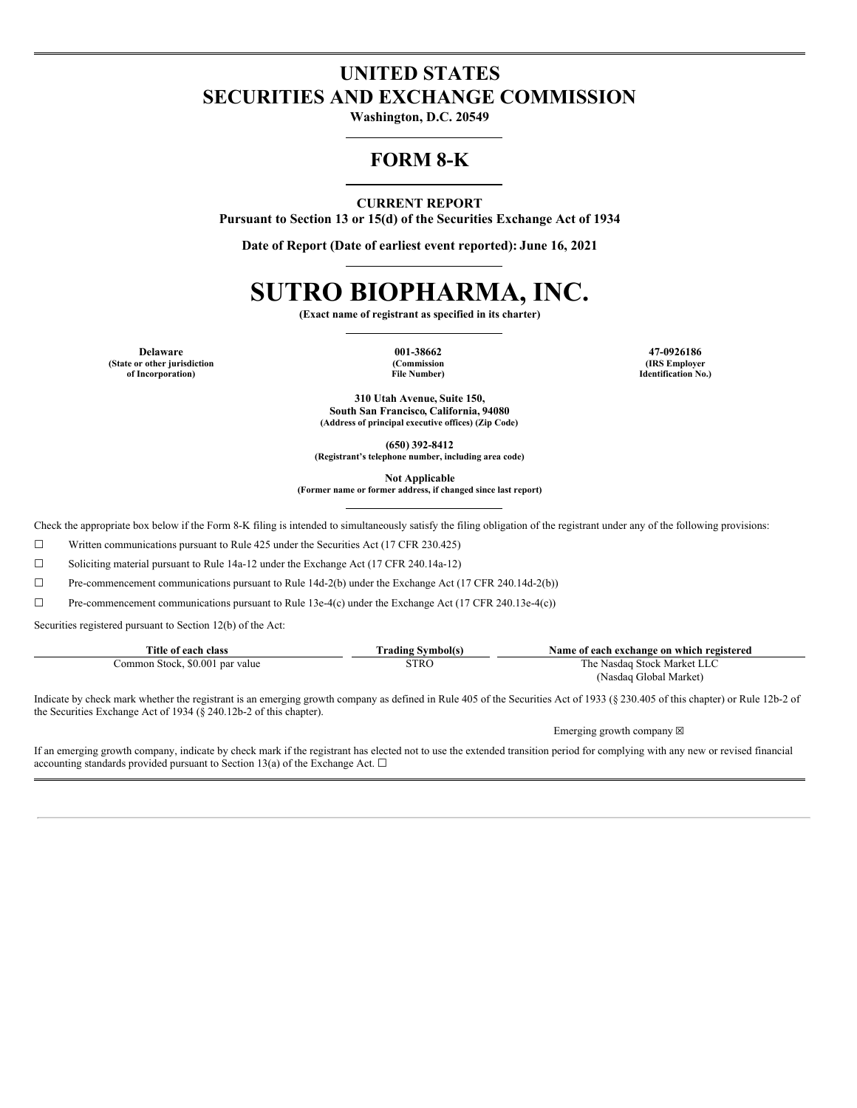## **UNITED STATES SECURITIES AND EXCHANGE COMMISSION**

**Washington, D.C. 20549**

### **FORM 8-K**

### **CURRENT REPORT**

**Pursuant to Section 13 or 15(d) of the Securities Exchange Act of 1934**

**Date of Report (Date of earliest event reported): June 16, 2021**

# **SUTRO BIOPHARMA, INC.**

**(Exact name of registrant as specified in its charter)**

**(State or other jurisdiction of Incorporation)**

**(Commission File Number)**

**Delaware 001-38662 47-0926186 (IRS Employer Identification No.)**

> **310 Utah Avenue, Suite 150, South San Francisco, California, 94080 (Address of principal executive offices) (Zip Code)**

> > **(650) 392-8412**

**(Registrant's telephone number, including area code)**

**Not Applicable**

**(Former name or former address, if changed since last report)**

Check the appropriate box below if the Form 8-K filing is intended to simultaneously satisfy the filing obligation of the registrant under any of the following provisions:

☐ Written communications pursuant to Rule 425 under the Securities Act (17 CFR 230.425)

☐ Soliciting material pursuant to Rule 14a-12 under the Exchange Act (17 CFR 240.14a-12)

 $\Box$  Pre-commencement communications pursuant to Rule 14d-2(b) under the Exchange Act (17 CFR 240.14d-2(b))

 $\Box$  Pre-commencement communications pursuant to Rule 13e-4(c) under the Exchange Act (17 CFR 240.13e-4(c))

Securities registered pursuant to Section 12(b) of the Act:

| Title of each class                  | Symbol(s)<br>rading   | Name of each exchange on which registered |
|--------------------------------------|-----------------------|-------------------------------------------|
| \$0.001 par value<br>Stock.<br>ommon | STRC<br>$\sim$ $\sim$ | i Stock Market I<br>I'he<br>Nasdag        |
|                                      |                       | (Nasdag Global Market).                   |

Indicate by check mark whether the registrant is an emerging growth company as defined in Rule 405 of the Securities Act of 1933 (§ 230.405 of this chapter) or Rule 12b-2 of the Securities Exchange Act of 1934 (§ 240.12b-2 of this chapter).

Emerging growth company  $\boxtimes$ 

If an emerging growth company, indicate by check mark if the registrant has elected not to use the extended transition period for complying with any new or revised financial accounting standards provided pursuant to Section 13(a) of the Exchange Act.  $\Box$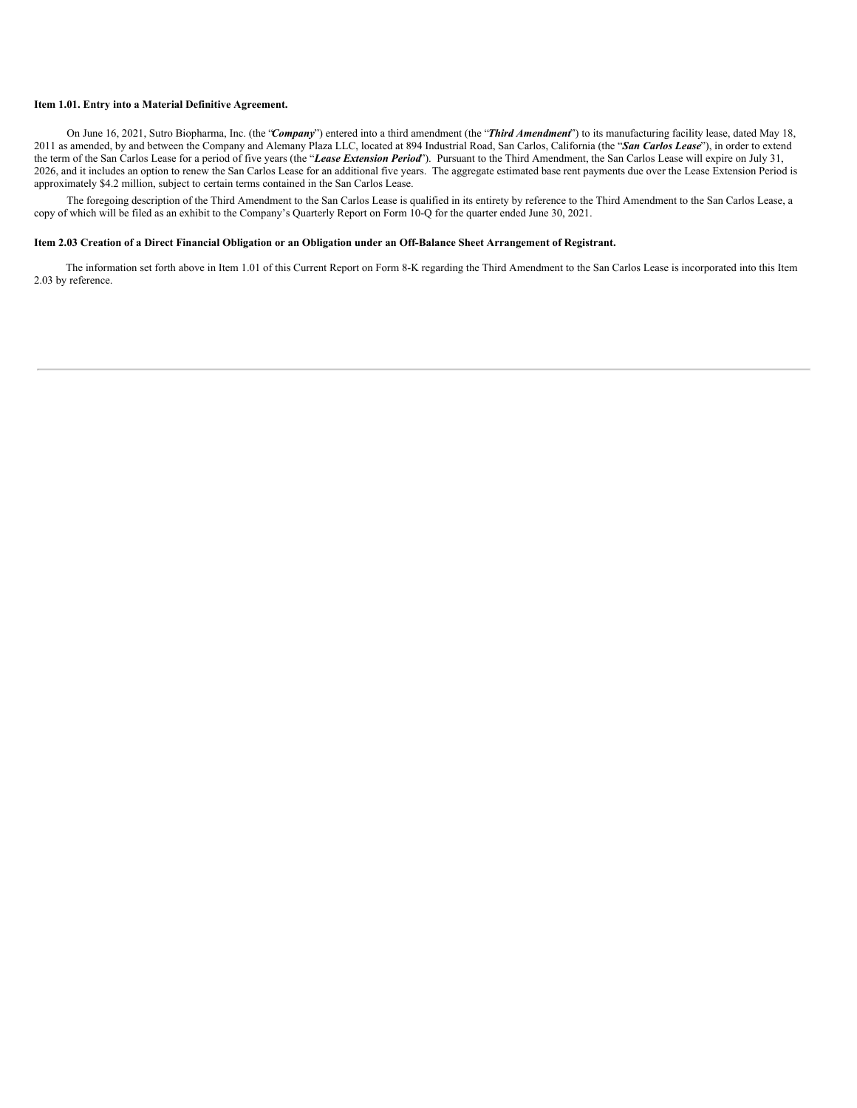### **Item 1.01. Entry into a Material Definitive Agreement.**

On June 16, 2021, Sutro Biopharma, Inc. (the "*Company*") entered into a third amendment (the "*Third Amendment*") to its manufacturing facility lease, dated May 18, 2011 as amended, by and between the Company and Alemany Plaza LLC, located at 894 Industrial Road, San Carlos, California (the "*San Carlos Lease*"), in order to extend the term of the San Carlos Lease for a period of five years (the "*Lease Extension Period*"). Pursuant to the Third Amendment, the San Carlos Lease will expire on July 31, 2026, and it includes an option to renew the San Carlos Lease for an additional five years. The aggregate estimated base rent payments due over the Lease Extension Period is approximately \$4.2 million, subject to certain terms contained in the San Carlos Lease.

The foregoing description of the Third Amendment to the San Carlos Lease is qualified in its entirety by reference to the Third Amendment to the San Carlos Lease, a copy of which will be filed as an exhibit to the Company's Quarterly Report on Form 10-Q for the quarter ended June 30, 2021.

#### Item 2.03 Creation of a Direct Financial Obligation or an Obligation under an Off-Balance Sheet Arrangement of Registrant.

The information set forth above in Item 1.01 of this Current Report on Form 8-K regarding the Third Amendment to the San Carlos Lease is incorporated into this Item 2.03 by reference.